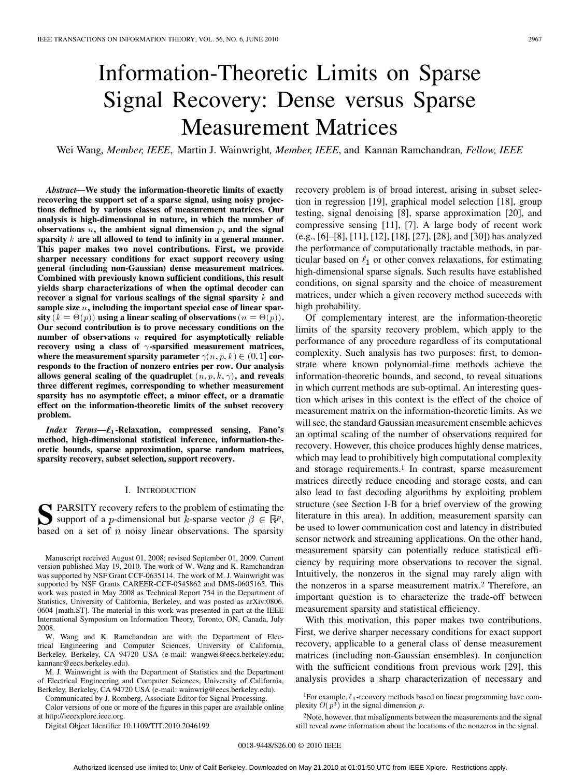# Information-Theoretic Limits on Sparse Signal Recovery: Dense versus Sparse Measurement Matrices

Wei Wang*, Member, IEEE*, Martin J. Wainwright*, Member, IEEE*, and Kannan Ramchandran*, Fellow, IEEE*

*Abstract—***We study the information-theoretic limits of exactly recovering the support set of a sparse signal, using noisy projections defined by various classes of measurement matrices. Our analysis is high-dimensional in nature, in which the number of** observations  $n$ , the ambient signal dimension  $p$ , and the signal **sparsity are all allowed to tend to infinity in a general manner. This paper makes two novel contributions. First, we provide sharper necessary conditions for exact support recovery using general (including non-Gaussian) dense measurement matrices. Combined with previously known sufficient conditions, this result yields sharp characterizations of when the optimal decoder can recover a signal for various scalings of the signal sparsity**  $k$  and **sample size , including the important special case of linear spar-** $\textbf{sity}$   $(k = \Theta(p))$  using a linear scaling of observations  $(n = \Theta(p)).$ **Our second contribution is to prove necessary conditions on the number of observations required for asymptotically reliable recovery using a class of**  $\gamma$ **-sparsified measurement matrices,** where the measurement sparsity parameter  $\gamma(n, p, k) \in (0, 1]$  cor**responds to the fraction of nonzero entries per row. Our analysis** allows general scaling of the quadruplet  $(n, p, k, \gamma)$ , and reveals **three different regimes, corresponding to whether measurement sparsity has no asymptotic effect, a minor effect, or a dramatic effect on the information-theoretic limits of the subset recovery problem.**

*Index Terms—L*<sub>1</sub>-Relaxation, compressed sensing, Fano's **method, high-dimensional statistical inference, information-theoretic bounds, sparse approximation, sparse random matrices, sparsity recovery, subset selection, support recovery.**

#### I. INTRODUCTION

SPARSITY recovery refers to the problem of estimating the support of a *p*-dimensional but *k*-sparse vector  $\beta \in \mathbb{R}^p$ , has considered on a set of  $x$  noisy linear observations. The sparsity based on a set of  $n$  noisy linear observations. The sparsity

Manuscript received August 01, 2008; revised September 01, 2009. Current version published May 19, 2010. The work of W. Wang and K. Ramchandran was supported by NSF Grant CCF-0635114. The work of M. J. Wainwright was supported by NSF Grants CAREER-CCF-0545862 and DMS-0605165. This work was posted in May 2008 as Technical Report 754 in the Department of Statistics, University of California, Berkeley, and was posted as arXiv:0806. 0604 [math.ST]. The material in this work was presented in part at the IEEE International Symposium on Information Theory, Toronto, ON, Canada, July 2008.

W. Wang and K. Ramchandran are with the Department of Electrical Engineering and Computer Sciences, University of California, Berkeley, Berkeley, CA 94720 USA (e-mail: wangwei@eecs.berkeley.edu; kannanr@eecs.berkeley.edu).

M. J. Wainwright is with the Department of Statistics and the Department of Electrical Engineering and Computer Sciences, University of California, Berkeley, Berkeley, CA 94720 USA (e-mail: wainwrig@eecs.berkeley.edu).

Communicated by J. Romberg, Associate Editor for Signal Processing.

Color versions of one or more of the figures in this paper are available online at http://ieeexplore.ieee.org.

Digital Object Identifier 10.1109/TIT.2010.2046199

recovery problem is of broad interest, arising in subset selection in regression [19], graphical model selection [18], group testing, signal denoising [8], sparse approximation [20], and compressive sensing [11], [7]. A large body of recent work (e.g., [6]–[8], [11], [12], [18], [27], [28], and [30]) has analyzed the performance of computationally tractable methods, in particular based on  $\ell_1$  or other convex relaxations, for estimating high-dimensional sparse signals. Such results have established conditions, on signal sparsity and the choice of measurement matrices, under which a given recovery method succeeds with high probability.

Of complementary interest are the information-theoretic limits of the sparsity recovery problem, which apply to the performance of any procedure regardless of its computational complexity. Such analysis has two purposes: first, to demonstrate where known polynomial-time methods achieve the information-theoretic bounds, and second, to reveal situations in which current methods are sub-optimal. An interesting question which arises in this context is the effect of the choice of measurement matrix on the information-theoretic limits. As we will see, the standard Gaussian measurement ensemble achieves an optimal scaling of the number of observations required for recovery. However, this choice produces highly dense matrices, which may lead to prohibitively high computational complexity and storage requirements.<sup>1</sup> In contrast, sparse measurement matrices directly reduce encoding and storage costs, and can also lead to fast decoding algorithms by exploiting problem structure (see Section I-B for a brief overview of the growing literature in this area). In addition, measurement sparsity can be used to lower communication cost and latency in distributed sensor network and streaming applications. On the other hand, measurement sparsity can potentially reduce statistical efficiency by requiring more observations to recover the signal. Intuitively, the nonzeros in the signal may rarely align with the nonzeros in a sparse measurement matrix.2 Therefore, an important question is to characterize the trade-off between measurement sparsity and statistical efficiency.

With this motivation, this paper makes two contributions. First, we derive sharper necessary conditions for exact support recovery, applicable to a general class of dense measurement matrices (including non-Gaussian ensembles). In conjunction with the sufficient conditions from previous work [29], this analysis provides a sharp characterization of necessary and

<sup>1</sup>For example,  $\ell_1$ -recovery methods based on linear programming have complexity  $O(p^3)$  in the signal dimension p.

2Note, however, that misalignments between the measurements and the signal still reveal *some* information about the locations of the nonzeros in the signal.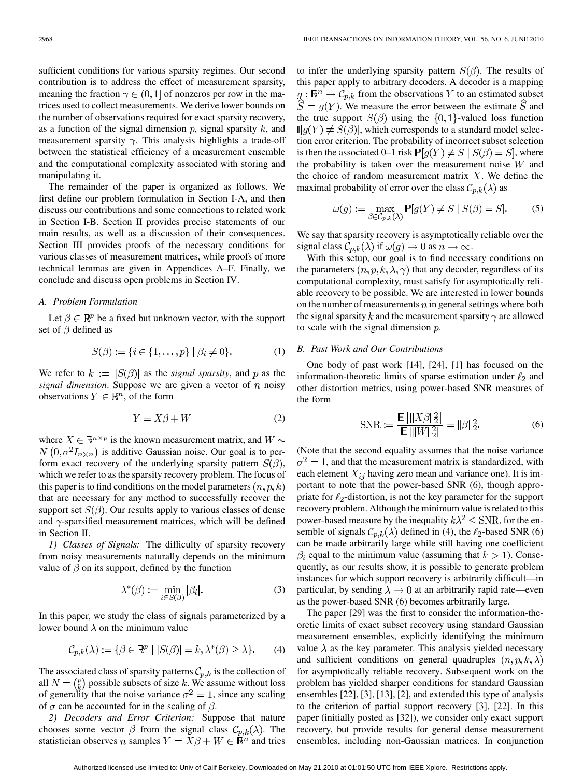sufficient conditions for various sparsity regimes. Our second contribution is to address the effect of measurement sparsity, meaning the fraction  $\gamma \in (0,1]$  of nonzeros per row in the matrices used to collect measurements. We derive lower bounds on the number of observations required for exact sparsity recovery, as a function of the signal dimension p, signal sparsity  $k$ , and measurement sparsity  $\gamma$ . This analysis highlights a trade-off between the statistical efficiency of a measurement ensemble and the computational complexity associated with storing and manipulating it.

The remainder of the paper is organized as follows. We first define our problem formulation in Section I-A, and then discuss our contributions and some connections to related work in Section I-B. Section II provides precise statements of our main results, as well as a discussion of their consequences. Section III provides proofs of the necessary conditions for various classes of measurement matrices, while proofs of more technical lemmas are given in Appendices A–F. Finally, we conclude and discuss open problems in Section IV.

#### *A. Problem Formulation*

Let  $\beta \in \mathbb{R}^p$  be a fixed but unknown vector, with the support set of  $\beta$  defined as

$$
S(\beta) := \{ i \in \{1, ..., p\} \mid \beta_i \neq 0 \}.
$$
 (1)

We refer to  $k := |S(\beta)|$  as the *signal sparsity*, and p as the *signal dimension*. Suppose we are given a vector of  $n$  noisy observations  $Y \in \mathbb{R}^n$ , of the form

$$
Y = X\beta + W \tag{2}
$$

where  $X \in \mathbb{R}^{n \times p}$  is the known measurement matrix, and  $W \sim$  $N(0, \sigma^2 I_{n \times n})$  is additive Gaussian noise. Our goal is to perform exact recovery of the underlying sparsity pattern  $S(\beta)$ , which we refer to as the sparsity recovery problem. The focus of this paper is to find conditions on the model parameters  $(n, p, k)$ that are necessary for any method to successfully recover the support set  $S(\beta)$ . Our results apply to various classes of dense and  $\gamma$ -sparsified measurement matrices, which will be defined in Section II.

*1) Classes of Signals:* The difficulty of sparsity recovery from noisy measurements naturally depends on the minimum value of  $\beta$  on its support, defined by the function

$$
\lambda^*(\beta) := \min_{i \in S(\beta)} |\beta_i|. \tag{3}
$$

In this paper, we study the class of signals parameterized by a lower bound  $\lambda$  on the minimum value

$$
\mathcal{C}_{p,k}(\lambda) := \{ \beta \in \mathbb{R}^p \mid |S(\beta)| = k, \lambda^*(\beta) \ge \lambda \}. \tag{4}
$$

The associated class of sparsity patterns  $\mathcal{C}_{p,k}$  is the collection of all  $N = \binom{p}{k}$  possible subsets of size k. We assume without loss of generality that the noise variance  $\sigma^2 = 1$ , since any scaling of  $\sigma$  can be accounted for in the scaling of  $\beta$ .

*2) Decoders and Error Criterion:* Suppose that nature chooses some vector  $\beta$  from the signal class  $\mathcal{C}_{p,k}(\lambda)$ . The statistician observes n samples  $Y = X\beta + W \in \mathbb{R}^n$  and tries

to infer the underlying sparsity pattern  $S(\beta)$ . The results of this paper apply to arbitrary decoders. A decoder is a mapping  $g: \mathbb{R}^n \to C_{p,k}$  from the observations Y to an estimated subset  $S = g(Y)$ . We measure the error between the estimate S and the true support  $S(\beta)$  using the  $\{0,1\}$ -valued loss function  $\mathbb{I}[g(Y) \neq S(\beta)]$ , which corresponds to a standard model selection error criterion. The probability of incorrect subset selection is then the associated 0–1 risk  $P[g(Y) \neq S | S(\beta) = S]$ , where the probability is taken over the measurement noise  $W$  and the choice of random measurement matrix  $X$ . We define the maximal probability of error over the class  $\mathcal{C}_{p,k}(\lambda)$  as

$$
\omega(g) := \max_{\beta \in \mathcal{C}_{p,k}(\lambda)} \mathbb{P}[g(Y) \neq S \mid S(\beta) = S].
$$
 (5)

We say that sparsity recovery is asymptotically reliable over the signal class  $C_{p,k}(\lambda)$  if  $\omega(g) \to 0$  as  $n \to \infty$ .

With this setup, our goal is to find necessary conditions on the parameters  $(n, p, k, \lambda, \gamma)$  that any decoder, regardless of its computational complexity, must satisfy for asymptotically reliable recovery to be possible. We are interested in lower bounds on the number of measurements  $n$  in general settings where both the signal sparsity k and the measurement sparsity  $\gamma$  are allowed to scale with the signal dimension  $p$ .

#### *B. Past Work and Our Contributions*

One body of past work [14], [24], [1] has focused on the information-theoretic limits of sparse estimation under  $\ell_2$  and other distortion metrics, using power-based SNR measures of the form

$$
\text{SNR} := \frac{\mathbb{E}\left[||X\beta||_2^2\right]}{\mathbb{E}\left[||W||_2^2\right]} = ||\beta||_2^2. \tag{6}
$$

(Note that the second equality assumes that the noise variance  $\sigma^2 = 1$ , and that the measurement matrix is standardized, with each element  $X_{ij}$  having zero mean and variance one). It is important to note that the power-based SNR (6), though appropriate for  $\ell_2$ -distortion, is not the key parameter for the support recovery problem. Although the minimum value is related to this power-based measure by the inequality  $k\lambda^2 \leq \text{SNR}$ , for the ensemble of signals  $C_{p,k}(\lambda)$  defined in (4), the  $\ell_2$ -based SNR (6) can be made arbitrarily large while still having one coefficient  $\beta_i$  equal to the minimum value (assuming that  $k > 1$ ). Consequently, as our results show, it is possible to generate problem instances for which support recovery is arbitrarily difficult—in particular, by sending  $\lambda \to 0$  at an arbitrarily rapid rate—even as the power-based SNR (6) becomes arbitrarily large.

The paper [29] was the first to consider the information-theoretic limits of exact subset recovery using standard Gaussian measurement ensembles, explicitly identifying the minimum value  $\lambda$  as the key parameter. This analysis yielded necessary and sufficient conditions on general quadruples  $(n, p, k, \lambda)$ for asymptotically reliable recovery. Subsequent work on the problem has yielded sharper conditions for standard Gaussian ensembles [22], [3], [13], [2], and extended this type of analysis to the criterion of partial support recovery [3], [22]. In this paper (initially posted as [32]), we consider only exact support recovery, but provide results for general dense measurement ensembles, including non-Gaussian matrices. In conjunction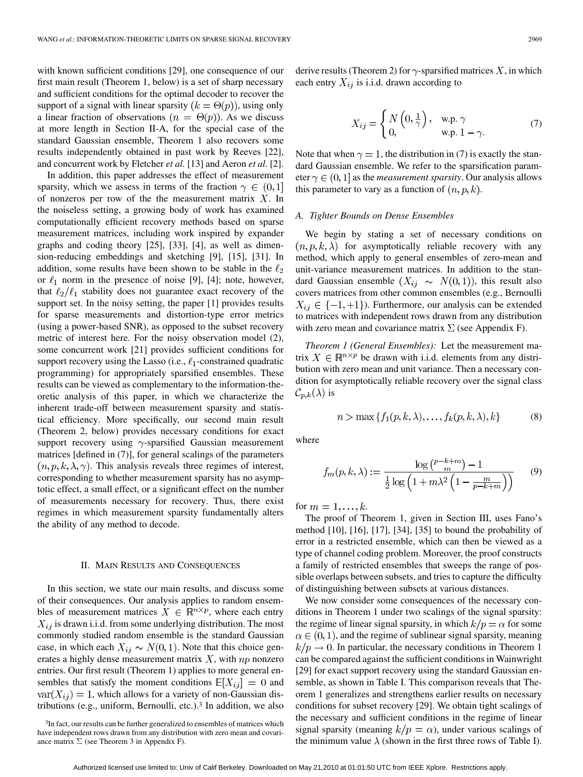with known sufficient conditions [29], one consequence of our first main result (Theorem 1, below) is a set of sharp necessary and sufficient conditions for the optimal decoder to recover the support of a signal with linear sparsity  $(k = \Theta(p))$ , using only a linear fraction of observations  $(n = \Theta(p))$ . As we discuss at more length in Section II-A, for the special case of the standard Gaussian ensemble, Theorem 1 also recovers some results independently obtained in past work by Reeves [22], and concurrent work by Fletcher *et al.* [13] and Aeron *et al.* [2].

In addition, this paper addresses the effect of measurement sparsity, which we assess in terms of the fraction  $\gamma \in (0,1]$ of nonzeros per row of the the measurement matrix  $X$ . In the noiseless setting, a growing body of work has examined computationally efficient recovery methods based on sparse measurement matrices, including work inspired by expander graphs and coding theory [25], [33], [4], as well as dimension-reducing embeddings and sketching [9], [15], [31]. In addition, some results have been shown to be stable in the  $\ell_2$ or  $\ell_1$  norm in the presence of noise [9], [4]; note, however, that  $\ell_2/\ell_1$  stability does not guarantee exact recovery of the support set. In the noisy setting, the paper [1] provides results for sparse measurements and distortion-type error metrics (using a power-based SNR), as opposed to the subset recovery metric of interest here. For the noisy observation model (2), some concurrent work [21] provides sufficient conditions for support recovery using the Lasso (i.e.,  $\ell_1$ -constrained quadratic programming) for appropriately sparsified ensembles. These results can be viewed as complementary to the information-theoretic analysis of this paper, in which we characterize the inherent trade-off between measurement sparsity and statistical efficiency. More specifically, our second main result (Theorem 2, below) provides necessary conditions for exact support recovery using  $\gamma$ -sparsified Gaussian measurement matrices [defined in (7)], for general scalings of the parameters  $(n, p, k, \lambda, \gamma)$ . This analysis reveals three regimes of interest, corresponding to whether measurement sparsity has no asymptotic effect, a small effect, or a significant effect on the number of measurements necessary for recovery. Thus, there exist regimes in which measurement sparsity fundamentally alters the ability of any method to decode.

#### II. MAIN RESULTS AND CONSEQUENCES

In this section, we state our main results, and discuss some of their consequences. Our analysis applies to random ensembles of measurement matrices  $X \in \mathbb{R}^{n \times p}$ , where each entry  $X_{ij}$  is drawn i.i.d. from some underlying distribution. The most commonly studied random ensemble is the standard Gaussian case, in which each  $X_{ij} \sim N(0, 1)$ . Note that this choice generates a highly dense measurement matrix  $X$ , with  $np$  nonzero entries. Our first result (Theorem 1) applies to more general ensembles that satisfy the moment conditions  $\mathbb{E}[X_{ij}] = 0$  and  $var(X_{ij}) = 1$ , which allows for a variety of non-Gaussian distributions (e.g., uniform, Bernoulli, etc.).3 In addition, we also derive results (Theorem 2) for  $\gamma$ -sparsified matrices X, in which each entry  $X_{ij}$  is i.i.d. drawn according to

$$
X_{ij} = \begin{cases} N\left(0, \frac{1}{\gamma}\right), & \text{w.p. } \gamma \\ 0, & \text{w.p. } 1 - \gamma. \end{cases}
$$
 (7)

Note that when  $\gamma = 1$ , the distribution in (7) is exactly the standard Gaussian ensemble. We refer to the sparsification parameter  $\gamma \in (0,1]$  as the *measurement sparsity*. Our analysis allows this parameter to vary as a function of  $(n, p, k)$ .

#### *A. Tighter Bounds on Dense Ensembles*

We begin by stating a set of necessary conditions on  $(n, p, k, \lambda)$  for asymptotically reliable recovery with any method, which apply to general ensembles of zero-mean and unit-variance measurement matrices. In addition to the standard Gaussian ensemble  $(X_{ij} \sim N(0,1))$ , this result also covers matrices from other common ensembles (e.g., Bernoulli  $X_{ij} \in \{-1,+1\}$ ). Furthermore, our analysis can be extended to matrices with independent rows drawn from any distribution with zero mean and covariance matrix  $\Sigma$  (see Appendix F).

*Theorem 1 (General Ensembles):* Let the measurement matrix  $X \in \mathbb{R}^{n \times p}$  be drawn with i.i.d. elements from any distribution with zero mean and unit variance. Then a necessary condition for asymptotically reliable recovery over the signal class  $\mathcal{C}_{p,k}(\lambda)$  is

$$
n > \max\{f_1(p,k,\lambda), \dots, f_k(p,k,\lambda), k\}
$$
 (8)

where

$$
f_m(p,k,\lambda) := \frac{\log \binom{p-k+m}{m} - 1}{\frac{1}{2} \log \left(1 + m\lambda^2 \left(1 - \frac{m}{p-k+m}\right)\right)} \tag{9}
$$

for  $m = 1, \ldots, k$ .

The proof of Theorem 1, given in Section III, uses Fano's method [10], [16], [17], [34], [35] to bound the probability of error in a restricted ensemble, which can then be viewed as a type of channel coding problem. Moreover, the proof constructs a family of restricted ensembles that sweeps the range of possible overlaps between subsets, and tries to capture the difficulty of distinguishing between subsets at various distances.

We now consider some consequences of the necessary conditions in Theorem 1 under two scalings of the signal sparsity: the regime of linear signal sparsity, in which  $k/p = \alpha$  for some  $\alpha \in (0, 1)$ , and the regime of sublinear signal sparsity, meaning  $k/p \rightarrow 0$ . In particular, the necessary conditions in Theorem 1 can be compared against the sufficient conditions in Wainwright [29] for exact support recovery using the standard Gaussian ensemble, as shown in Table I. This comparison reveals that Theorem 1 generalizes and strengthens earlier results on necessary conditions for subset recovery [29]. We obtain tight scalings of the necessary and sufficient conditions in the regime of linear signal sparsity (meaning  $k/p = \alpha$ ), under various scalings of the minimum value  $\lambda$  (shown in the first three rows of Table I).

<sup>&</sup>lt;sup>3</sup>In fact, our results can be further generalized to ensembles of matrices which have independent rows drawn from any distribution with zero mean and covariance matrix  $\Sigma$  (see Theorem 3 in Appendix F).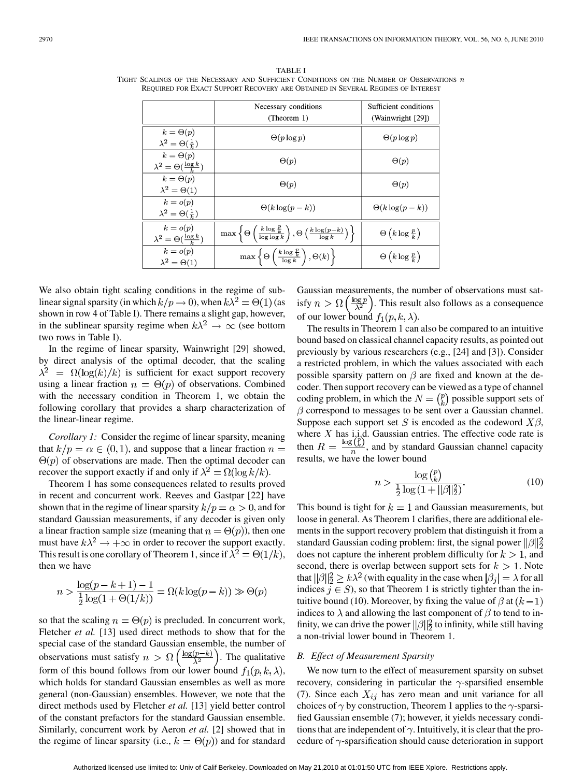TABLE I TIGHT SCALINGS OF THE NECESSARY AND SUFFICIENT CONDITIONS ON THE NUMBER OF OBSERVATIONS  $n$ REQUIRED FOR EXACT SUPPORT RECOVERY ARE OBTAINED IN SEVERAL REGIMES OF INTEREST

|                                                           | Necessary conditions                                                                                                      | Sufficient conditions                   |
|-----------------------------------------------------------|---------------------------------------------------------------------------------------------------------------------------|-----------------------------------------|
|                                                           | (Theorem 1)                                                                                                               | (Wainwright [29])                       |
| $k = \Theta(p)$<br>$\lambda^2 = \Theta(\frac{1}{k})$      | $\Theta(p \log p)$                                                                                                        | $\Theta(p \log p)$                      |
| $k = \Theta(p)$<br>$\lambda^2 = \Theta(\frac{\log k}{h})$ | $\Theta(p)$                                                                                                               | $\Theta(p)$                             |
| $k = \Theta(p)$<br>$\lambda^2 = \Theta(1)$                | $\Theta(p)$                                                                                                               | $\Theta(p)$                             |
| $k = o(p)$<br>$\lambda^2 = \Theta(\frac{1}{k})$           | $\Theta(k \log(p-k))$                                                                                                     | $\Theta(k \log(p-k))$                   |
| $k = o(p)$<br>$\lambda^2 = \Theta(\frac{\log k}{k})$      | $\max\left\{\Theta\left(\frac{k\log\frac{p}{k}}{\log\log k}\right), \Theta\left(\frac{k\log(p-k)}{\log k}\right)\right\}$ | $\Theta\left(k\log\frac{p}{k}\right)$   |
| $k = o(p)$<br>$\lambda^2 = \Theta(1)$                     | $\max \left\{ \Theta \left( \frac{k \log \frac{p}{k}}{\log k} \right), \Theta(k) \right\}$                                | $\Theta\left(k \log \frac{p}{k}\right)$ |

We also obtain tight scaling conditions in the regime of sublinear signal sparsity (in which  $k/p \to 0$ ), when  $k\lambda^2 = \Theta(1)$  (as shown in row 4 of Table I). There remains a slight gap, however, in the sublinear sparsity regime when  $k\lambda^2 \rightarrow \infty$  (see bottom two rows in Table I).

In the regime of linear sparsity, Wainwright [29] showed, by direct analysis of the optimal decoder, that the scaling  $\lambda^2 = \Omega(\log(k)/k)$  is sufficient for exact support recovery using a linear fraction  $n = \Theta(p)$  of observations. Combined with the necessary condition in Theorem 1, we obtain the following corollary that provides a sharp characterization of the linear-linear regime.

*Corollary 1:* Consider the regime of linear sparsity, meaning that  $k/p = \alpha \in (0,1)$ , and suppose that a linear fraction  $n =$  $\Theta(p)$  of observations are made. Then the optimal decoder can recover the support exactly if and only if  $\lambda^2 = \Omega(\log k/k)$ .

Theorem 1 has some consequences related to results proved in recent and concurrent work. Reeves and Gastpar [22] have shown that in the regime of linear sparsity  $k/p = \alpha > 0$ , and for standard Gaussian measurements, if any decoder is given only a linear fraction sample size (meaning that  $n = \Theta(p)$ ), then one must have  $k\lambda^2 \rightarrow +\infty$  in order to recover the support exactly. This result is one corollary of Theorem 1, since if  $\lambda^2 = \Theta(1/k)$ , then we have

$$
n > \frac{\log(p-k+1)-1}{\frac{1}{2}\log(1+\Theta(1/k))} = \Omega(k\log(p-k)) \gg \Theta(p)
$$

so that the scaling  $n = \Theta(p)$  is precluded. In concurrent work, Fletcher *et al.* [13] used direct methods to show that for the special case of the standard Gaussian ensemble, the number of observations must satisfy  $n > \Omega\left(\frac{\log(p-k)}{\lambda^2}\right)$ . The qualitative form of this bound follows from our lower bound  $f_1(p, k, \lambda)$ , which holds for standard Gaussian ensembles as well as more general (non-Gaussian) ensembles. However, we note that the direct methods used by Fletcher *et al.* [13] yield better control of the constant prefactors for the standard Gaussian ensemble. Similarly, concurrent work by Aeron *et al.* [2] showed that in the regime of linear sparsity (i.e.,  $k = \Theta(p)$ ) and for standard

Gaussian measurements, the number of observations must satisfy  $n > \Omega\left(\frac{\log p}{\lambda^2}\right)$ . This result also follows as a consequence of our lower bound  $f_1(p, k, \lambda)$ .

The results in Theorem 1 can also be compared to an intuitive bound based on classical channel capacity results, as pointed out previously by various researchers (e.g., [24] and [3]). Consider a restricted problem, in which the values associated with each possible sparsity pattern on  $\beta$  are fixed and known at the decoder. Then support recovery can be viewed as a type of channel coding problem, in which the  $N = \binom{p}{k}$  possible support sets of  $\beta$  correspond to messages to be sent over a Gaussian channel. Suppose each support set S is encoded as the codeword  $X\beta$ , where X has i.j.d. Gaussian entries. The effective code rate is then  $R = \frac{\log (k)}{n}$ , and by standard Gaussian channel capacity results, we have the lower bound

$$
n > \frac{\log {p \choose k}}{\frac{1}{2} \log (1 + ||\beta||_2^2)}.
$$
\n(10)

This bound is tight for  $k = 1$  and Gaussian measurements, but loose in general. As Theorem 1 clarifies, there are additional elements in the support recovery problem that distinguish it from a standard Gaussian coding problem: first, the signal power  $\|\beta\|_2^2$ does not capture the inherent problem difficulty for  $k > 1$ , and second, there is overlap between support sets for  $k > 1$ . Note that  $||\beta||_2^2 \ge k\lambda^2$  (with equality in the case when  $|\beta_i| = \lambda$  for all indices  $j \in S$ ), so that Theorem 1 is strictly tighter than the intuitive bound (10). Moreover, by fixing the value of  $\beta$  at  $(k-1)$ indices to  $\lambda$  and allowing the last component of  $\beta$  to tend to infinity, we can drive the power  $\|\beta\|_2^2$  to infinity, while still having a non-trivial lower bound in Theorem 1.

#### *B. Effect of Measurement Sparsity*

We now turn to the effect of measurement sparsity on subset recovery, considering in particular the  $\gamma$ -sparsified ensemble (7). Since each  $X_{ij}$  has zero mean and unit variance for all choices of  $\gamma$  by construction, Theorem 1 applies to the  $\gamma$ -sparsified Gaussian ensemble (7); however, it yields necessary conditions that are independent of  $\gamma$ . Intuitively, it is clear that the procedure of  $\gamma$ -sparsification should cause deterioration in support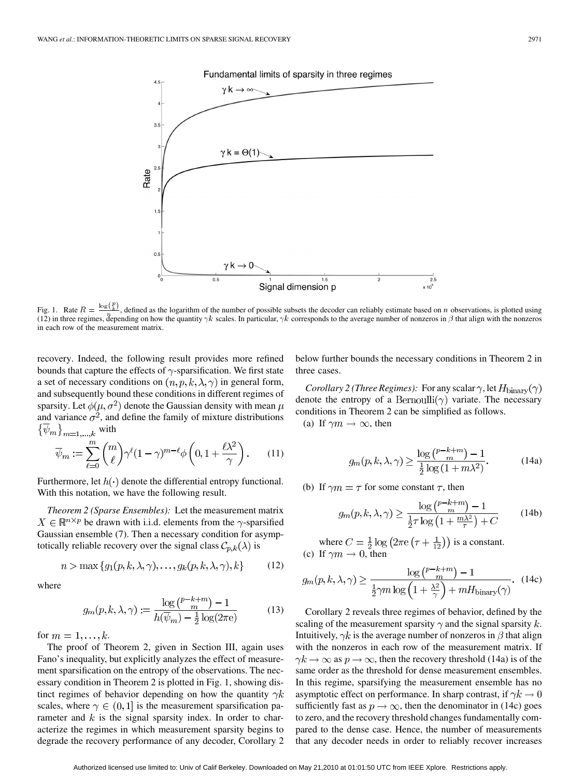

Fig. 1. Rate  $R = \frac{\log(\frac{p}{k})}{n}$ , defined as the logarithm of the number of possible subsets the decoder can reliably estimate based on *n* observations, is plotted using (12) in three regimes, depending on how the quantity  $\gamma k$  scales. In particular,  $\gamma k$  corresponds to the average number of nonzeros in  $\beta$  that align with the nonzeros in each row of the measurement matrix.

recovery. Indeed, the following result provides more refined bounds that capture the effects of  $\gamma$ -sparsification. We first state a set of necessary conditions on  $(n, p, k, \lambda, \gamma)$  in general form, and subsequently bound these conditions in different regimes of sparsity. Let  $\phi(\mu, \sigma^2)$  denote the Gaussian density with mean  $\mu$ and variance  $\sigma^2$ , and define the family of mixture distributions  $\{\overline{\psi}_m\}_{m=1,\dots,k}$  with

$$
\overline{\psi}_m := \sum_{\ell=0}^m \binom{m}{\ell} \gamma^{\ell} (1-\gamma)^{m-\ell} \phi \left(0, 1 + \frac{\ell \lambda^2}{\gamma} \right). \tag{11}
$$

Furthermore, let  $h(\cdot)$  denote the differential entropy functional. With this notation, we have the following result.

*Theorem 2 (Sparse Ensembles):* Let the measurement matrix  $X \in \mathbb{R}^{n \times p}$  be drawn with i.i.d. elements from the  $\gamma$ -sparsified Gaussian ensemble (7). Then a necessary condition for asymptotically reliable recovery over the signal class  $\mathcal{C}_{p,k}(\lambda)$  is

$$
n > \max\{g_1(p, k, \lambda, \gamma), \dots, g_k(p, k, \lambda, \gamma), k\}
$$
 (12)

where

$$
g_m(p, k, \lambda, \gamma) := \frac{\log \binom{p - k + m}{m} - 1}{h(\overline{\psi}_m) - \frac{1}{2} \log(2\pi e)}
$$
(13)

for  $m = 1, \ldots, k$ .

The proof of Theorem 2, given in Section III, again uses Fano's inequality, but explicitly analyzes the effect of measurement sparsification on the entropy of the observations. The necessary condition in Theorem 2 is plotted in Fig. 1, showing distinct regimes of behavior depending on how the quantity  $\gamma k$ scales, where  $\gamma \in (0,1]$  is the measurement sparsification parameter and  $k$  is the signal sparsity index. In order to characterize the regimes in which measurement sparsity begins to degrade the recovery performance of any decoder, Corollary 2

below further bounds the necessary conditions in Theorem 2 in three cases.

 $\overline{2.5}$ 

*Corollary 2 (Three Regimes):* For any scalar  $\gamma$ , let  $H_{\text{binary}}(\gamma)$ denote the entropy of a Bernoulli $(\gamma)$  variate. The necessary conditions in Theorem 2 can be simplified as follows.

(a) If  $\gamma m \to \infty$ , then

$$
g_m(p,k,\lambda,\gamma) \ge \frac{\log\left(\frac{p-k+m}{m}\right) - 1}{\frac{1}{2}\log\left(1 + m\lambda^2\right)}.\tag{14a}
$$

(b) If  $\gamma m = \tau$  for some constant  $\tau$ , then

$$
g_m(p,k,\lambda,\gamma) \ge \frac{\log\left(\frac{p-k+m}{m}\right) - 1}{\frac{1}{2}\tau \log\left(1 + \frac{m\lambda^2}{\tau}\right) + C} \tag{14b}
$$

where  $C = \frac{1}{2} \log \left( 2 \pi e \left( \tau + \frac{1}{12} \right) \right)$  is a constant. (c) If  $\gamma m \to 0$ , then

$$
g_m(p,k,\lambda,\gamma) \ge \frac{\log {p-k+m \choose m} - 1}{\frac{1}{2}\gamma m \log \left(1 + \frac{\lambda^2}{\gamma}\right) + mH_{\text{binary}}(\gamma)}.
$$
 (14c)

Corollary 2 reveals three regimes of behavior, defined by the scaling of the measurement sparsity  $\gamma$  and the signal sparsity k. Intuitively,  $\gamma k$  is the average number of nonzeros in  $\beta$  that align with the nonzeros in each row of the measurement matrix. If  $\gamma k \to \infty$  as  $p \to \infty$ , then the recovery threshold (14a) is of the same order as the threshold for dense measurement ensembles. In this regime, sparsifying the measurement ensemble has no asymptotic effect on performance. In sharp contrast, if  $\gamma k \to 0$ sufficiently fast as  $p \to \infty$ , then the denominator in (14c) goes to zero, and the recovery threshold changes fundamentally compared to the dense case. Hence, the number of measurements that any decoder needs in order to reliably recover increases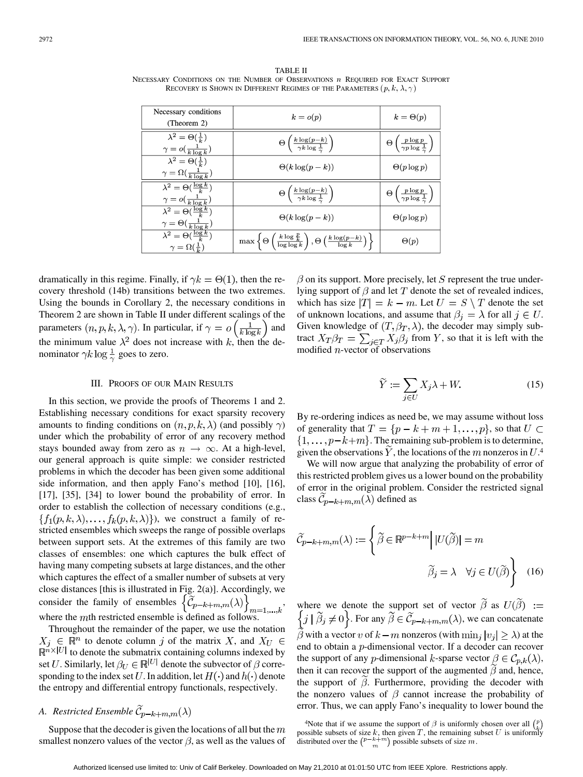TABLE II NECESSARY CONDITIONS ON THE NUMBER OF OBSERVATIONS **n** REQUIRED FOR EXACT SUPPORT RECOVERY IS SHOWN IN DIFFERENT REGIMES OF THE PARAMETERS  $(p, k, \lambda, \gamma)$ 

| Necessary conditions<br>(Theorem 2)                                             | $k = o(p)$                                                                                                               | $k = \Theta(p)$                                              |
|---------------------------------------------------------------------------------|--------------------------------------------------------------------------------------------------------------------------|--------------------------------------------------------------|
| $\lambda^2 = \Theta(\frac{1}{k})$<br>$\gamma = o(\tfrac{1}{k \log k})$          | $\Theta\left(\frac{k\log(p-k)}{\gamma k\log\frac{1}{\gamma}}\right)$                                                     | $\Theta\left(\frac{p\log p}{\gamma p\log\frac{1}{p}}\right)$ |
| $\lambda^2 = \Theta(\frac{1}{k})$<br>$\gamma = \Omega(\frac{1}{k \log k})$      | $\Theta(k \log(p-k))$                                                                                                    | $\Theta(p \log p)$                                           |
| $\lambda^2 = \Theta(\frac{\log k}{k})$<br>$\gamma = o(\tfrac{1}{k \log k})$     | $\Theta\left(\frac{k \log(p-k)}{\gamma k \log \frac{1}{n}}\right)$                                                       | $\Theta\left(\frac{p\log p}{\gamma p\log\frac{1}{p}}\right)$ |
| $\lambda^2 = \Theta(\frac{\log k}{k})$<br>$\gamma = \Theta(\frac{1}{k \log k})$ | $\Theta(k \log(p-k))$                                                                                                    | $\Theta(p \log p)$                                           |
| $\lambda^2 = \Theta(\frac{\log k}{k})$<br>$\gamma = \Omega(\frac{1}{L})$        | $\max\left\{\Theta\left(\frac{k\log\frac{p}{k}}{\log\log k}\right),\Theta\left(\frac{k\log(p-k)}{\log k}\right)\right\}$ | $\Theta(p)$                                                  |

dramatically in this regime. Finally, if  $\gamma k = \Theta(1)$ , then the recovery threshold (14b) transitions between the two extremes. Using the bounds in Corollary 2, the necessary conditions in Theorem 2 are shown in Table II under different scalings of the parameters  $(n, p, k, \lambda, \gamma)$ . In particular, if  $\gamma = o\left(\frac{1}{k \log k}\right)$  and the minimum value  $\lambda^2$  does not increase with k, then the denominator  $\gamma k \log \frac{1}{\gamma}$  goes to zero.

#### III. PROOFS OF OUR MAIN RESULTS

In this section, we provide the proofs of Theorems 1 and 2. Establishing necessary conditions for exact sparsity recovery amounts to finding conditions on  $(n, p, k, \lambda)$  (and possibly  $\gamma$ ) under which the probability of error of any recovery method stays bounded away from zero as  $n \to \infty$ . At a high-level, our general approach is quite simple: we consider restricted problems in which the decoder has been given some additional side information, and then apply Fano's method [10], [16], [17], [35], [34] to lower bound the probability of error. In order to establish the collection of necessary conditions (e.g.,  $\{f_1(p,k,\lambda), \ldots, f_k(p,k,\lambda)\}\)$ , we construct a family of restricted ensembles which sweeps the range of possible overlaps between support sets. At the extremes of this family are two classes of ensembles: one which captures the bulk effect of having many competing subsets at large distances, and the other which captures the effect of a smaller number of subsets at very close distances [this is illustrated in Fig. 2(a)]. Accordingly, we consider the family of ensembles  $\{\mathcal{C}_{p-k+m,m}(\lambda)\}\;$ , where the  $m$ th restricted ensemble is defined as follows.

Throughout the remainder of the paper, we use the notation to denote column  $j$  of the matrix  $X$ , and to denote the submatrix containing columns indexed by set U. Similarly, let  $\beta_U \in \mathbb{R}^{|U|}$  denote the subvector of  $\beta$  corresponding to the index set U. In addition, let  $H(\cdot)$  and  $h(\cdot)$  denote the entropy and differential entropy functionals, respectively.

## *A. Restricted Ensemble*  $\widetilde{\mathcal{C}}_{p-k+m,m}(\lambda)$

Suppose that the decoder is given the locations of all but the  $m$ smallest nonzero values of the vector  $\beta$ , as well as the values of  $\beta$  on its support. More precisely, let S represent the true underlying support of  $\beta$  and let  $T$  denote the set of revealed indices, which has size  $|T| = k - m$ . Let  $U = S \setminus T$  denote the set of unknown locations, and assume that  $\beta_i = \lambda$  for all  $j \in U$ . Given knowledge of  $(T, \beta_T, \lambda)$ , the decoder may simply subtract  $X_T \beta_T = \sum_{j \in T} X_j \beta_j$  from Y, so that it is left with the modified  $n$ -vector of observations

$$
\widetilde{Y} := \sum_{j \in U} X_j \lambda + W. \tag{15}
$$

By re-ordering indices as need be, we may assume without loss of generality that  $T = \{p - k + m + 1, \ldots, p\}$ , so that  $U \subset$  $\{1,\ldots,p-k+m\}$ . The remaining sub-problem is to determine, given the observations  $\overline{Y}$ , the locations of the m nonzeros in  $U^4$ .

We will now argue that analyzing the probability of error of this restricted problem gives us a lower bound on the probability of error in the original problem. Consider the restricted signal class  $\widetilde{C}_{p-k+m,m}(\lambda)$  defined as

$$
\widetilde{C}_{p-k+m,m}(\lambda) := \left\{ \widetilde{\beta} \in \mathbb{R}^{p-k+m} \middle| U(\widetilde{\beta}) \right\} = m
$$

$$
\widetilde{\beta}_j = \lambda \quad \forall j \in U(\widetilde{\beta}) \right\} \quad (16)
$$

where we denote the support set of vector  $\beta$  as . For any  $\beta \in C_{p-k+m,m}(\lambda)$ , we can concatenate  $\beta$  with a vector v of  $k-m$  nonzeros (with  $\min_i |v_i| \geq \lambda$ ) at the end to obtain a  $p$ -dimensional vector. If a decoder can recover the support of any *p*-dimensional *k*-sparse vector  $\beta \in C_{p,k}(\lambda)$ , then it can recover the support of the augmented  $\beta$  and, hence, the support of  $\beta$ . Furthermore, providing the decoder with the nonzero values of  $\beta$  cannot increase the probability of error. Thus, we can apply Fano's inequality to lower bound the

<sup>&</sup>lt;sup>4</sup>Note that if we assume the support of  $\beta$  is uniformly chosen over all  $\binom{p}{k}$ possible subsets of size k, then given T, the remaining subset U is uniformly distributed over the  $\binom{p-k+m}{m}$  possible subsets of size m.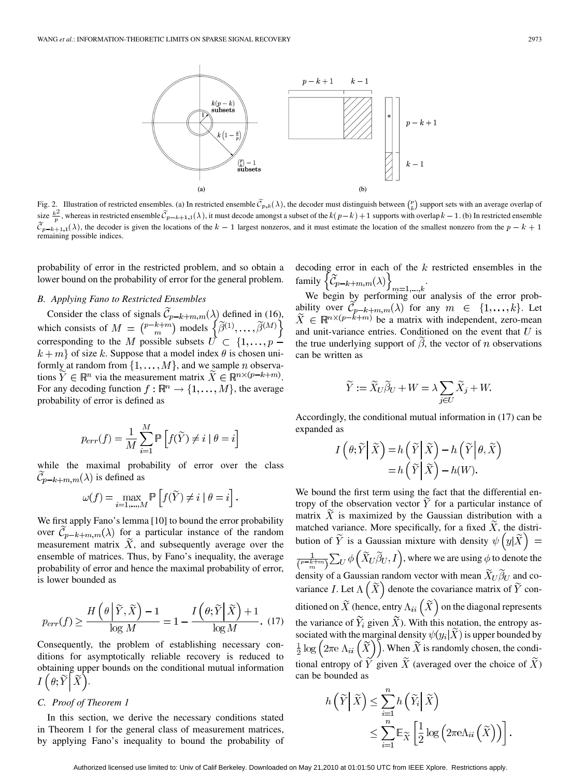

Fig. 2. Illustration of restricted ensembles. (a) In restricted ensemble  $\widetilde{C}_{p,k}(\lambda)$ , the decoder must distinguish between  $\binom{p}{k}$  support sets with an average overlap of size  $\frac{k^2}{2}$ , whereas in restricted ensemble  $\widetilde{C}_{p-k+1,1}(\lambda)$ , it must decode amongst a subset of the  $k(p-k)+1$  supports with overlap  $k-1$ . (b) In restricted ensemble  $\widetilde{\mathcal{C}}_{p-k+1,1}(\lambda)$ , the decoder is given the locations of the  $k-1$  largest nonzeros, and it must estimate the location of the smallest nonzero from the  $p-k+1$ remaining possible indices.

probability of error in the restricted problem, and so obtain a lower bound on the probability of error for the general problem.

#### *B. Applying Fano to Restricted Ensembles*

Consider the class of signals  $C_{p-k+m,m}(\lambda)$  defined in (16), which consists of  $M = \binom{p-k+m}{m}$  models corresponding to the M possible subsets  $\vec{U} \subset \{1,\ldots,p-1\}$  $k + m$  of size k. Suppose that a model index  $\theta$  is chosen uniformly at random from  $\{1, \ldots, M\}$ , and we sample *n* observations  $Y \in \mathbb{R}^n$  via the measurement matrix  $\widetilde{X} \in \mathbb{R}^{n \times (p-k+m)}$ . For any decoding function  $f : \mathbb{R}^n \to \{1, ..., M\}$ , the average probability of error is defined as

$$
p_{err}(f) = \frac{1}{M} \sum_{i=1}^{M} \mathbb{P}\left[f(\widetilde{Y}) \neq i \mid \theta = i\right]
$$

while the maximal probability of error over the class  $\widetilde{\mathcal{C}}_{p-k+m,m}(\lambda)$  is defined as

$$
\omega(f) = \max_{i=1,\dots,M} \mathbb{P}\left[f(\widetilde{Y}) \neq i \mid \theta = i\right].
$$

We first apply Fano's lemma [10] to bound the error probability over  $C_{p-k+m,m}(\lambda)$  for a particular instance of the random measurement matrix  $\tilde{X}$ , and subsequently average over the ensemble of matrices. Thus, by Fano's inequality, the average probability of error and hence the maximal probability of error, is lower bounded as

$$
p_{err}(f) \ge \frac{H\left(\theta \middle| \widetilde{Y}, \widetilde{X}\right) - 1}{\log M} = 1 - \frac{I\left(\theta; \widetilde{Y} \middle| \widetilde{X}\right) + 1}{\log M}.\tag{17}
$$

Consequently, the problem of establishing necessary conditions for asymptotically reliable recovery is reduced to obtaining upper bounds on the conditional mutual information  $I\left(\theta;\widetilde{Y}\right[\widetilde{X}].$ 

#### *C. Proof of Theorem 1*

In this section, we derive the necessary conditions stated in Theorem 1 for the general class of measurement matrices, by applying Fano's inequality to bound the probability of decoding error in each of the  $k$  restricted ensembles in the family  $\{\mathcal{C}_{p-k+m,m}(\lambda)\}\$ .

We begin by performing our analysis of the error probability over  $C_{p-k+m,m}(\lambda)$  for any  $m \in \{1,\ldots,k\}$ . Let be a matrix with independent, zero-mean and unit-variance entries. Conditioned on the event that  $U$  is the true underlying support of  $\beta$ , the vector of n observations can be written as

$$
\widetilde{Y} := \widetilde{X}_U \widetilde{\beta}_U + W = \lambda \sum_{j \in U} \widetilde{X}_j + W.
$$

Accordingly, the conditional mutual information in (17) can be expanded as

$$
I(\theta; \widetilde{Y} | \widetilde{X}) = h(\widetilde{Y} | \widetilde{X}) - h(\widetilde{Y} | \theta, \widetilde{X})
$$
  
=  $h(\widetilde{Y} | \widetilde{X}) - h(W).$ 

We bound the first term using the fact that the differential entropy of the observation vector  $\widetilde{Y}$  for a particular instance of matrix  $\tilde{X}$  is maximized by the Gaussian distribution with a matched variance. More specifically, for a fixed  $\tilde{X}$ , the distribution of  $\widetilde{Y}$  is a Gaussian mixture with density  $\psi\left(y|\widetilde{X}\right)$  =  $\frac{1}{\binom{p-k+m}{m}}\sum_U \phi\left(\widetilde{X}_U\widetilde{\beta}_U,I\right)$ , where we are using  $\phi$  to denote the density of a Gaussian random vector with mean  $\widetilde{X}_U \widetilde{\beta}_U$  and covariance I. Let  $\Lambda\left(\widetilde{X}\right)$  denote the covariance matrix of  $\widetilde{Y}$  conditioned on  $\widetilde{X}$  (hence, entry  $\Lambda_{ii}(\widetilde{X})$  on the diagonal represents the variance of  $\widetilde{Y}_i$  given  $\widetilde{X}$ ). With this notation, the entropy associated with the marginal density  $\psi(y_i|X)$  is upper bounded by  $\frac{1}{2} \log \left( 2 \pi \mathrm{e} \Lambda_{ii} \left( \widetilde{X} \right) \right)$ . When  $\widetilde{X}$  is randomly chosen, the conditional entropy of  $\tilde{Y}$  given  $\tilde{X}$  (averaged over the choice of  $\tilde{X}$ ) can be bounded as

$$
h\left(\widetilde{Y}\middle|\widetilde{X}\right) \leq \sum_{i=1}^{n} h\left(\widetilde{Y}_i\middle|\widetilde{X}\right)
$$
  

$$
\leq \sum_{i=1}^{n} \mathbb{E}_{\widetilde{X}}\left[\frac{1}{2}\log\left(2\pi e\Lambda_{ii}\left(\widetilde{X}\right)\right)\right].
$$

Authorized licensed use limited to: Univ of Calif Berkeley. Downloaded on May 21,2010 at 01:01:50 UTC from IEEE Xplore. Restrictions apply.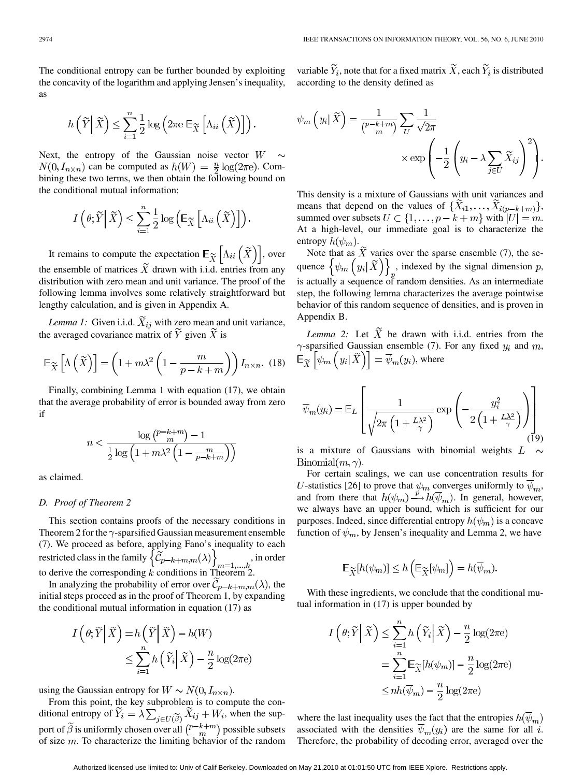The conditional entropy can be further bounded by exploiting the concavity of the logarithm and applying Jensen's inequality, as

$$
h\left(\widetilde{Y}\middle|\widetilde{X}\right) \leq \sum_{i=1}^{n} \frac{1}{2} \log \left(2\pi e \mathbb{E}_{\widetilde{X}}\left[\Lambda_{ii}\left(\widetilde{X}\right)\right]\right).
$$

Next, the entropy of the Gaussian noise vector  $W \sim$  $N(0, I_{n \times n})$  can be computed as  $h(W) = \frac{n}{2} \log(2\pi e)$ . Combining these two terms, we then obtain the following bound on the conditional mutual information:

$$
I\left(\theta;\widetilde{Y}\,\middle|\,\widetilde{X}\right)\leq\sum_{i=1}^{n}\frac{1}{2}\log\left(\mathbb{E}_{\widetilde{X}}\left[\Lambda_{ii}\left(\widetilde{X}\right)\right]\right).
$$

It remains to compute the expectation  $\mathbb{E}_{\widetilde{\mathbf{y}}}\left[\Lambda_{ii}\left(X\right)\right]$ , over the ensemble of matrices  $X$  drawn with i.i.d. entries from any distribution with zero mean and unit variance. The proof of the following lemma involves some relatively straightforward but lengthy calculation, and is given in Appendix A.

*Lemma 1:* Given i.i.d.  $\widetilde{X}_{ij}$  with zero mean and unit variance, the averaged covariance matrix of  $\tilde{Y}$  given  $\tilde{X}$  is

$$
\mathbb{E}_{\widetilde{X}}\left[\Lambda\left(\widetilde{X}\right)\right] = \left(1 + m\lambda^2 \left(1 - \frac{m}{p - k + m}\right)\right) I_{n \times n}.\tag{18}
$$

Finally, combining Lemma 1 with equation (17), we obtain that the average probability of error is bounded away from zero if

$$
n < \frac{\log\left(\frac{p-k+m}{m}\right) - 1}{\frac{1}{2}\log\left(1 + m\lambda^2 \left(1 - \frac{m}{p-k+m}\right)\right)}
$$

as claimed.

#### *D. Proof of Theorem 2*

This section contains proofs of the necessary conditions in Theorem 2 for the  $\gamma$ -sparsified Gaussian measurement ensemble (7). We proceed as before, applying Fano's inequality to each restricted class in the family  $\{\mathcal{C}_{p-k+m,m}(\lambda)\}\;$ , in order to derive the corresponding  $k$  conditions in Theorem 2.

In analyzing the probability of error over  $C_{p-k+m,m}(\lambda)$ , the initial steps proceed as in the proof of Theorem 1, by expanding the conditional mutual information in equation (17) as

$$
I\left(\theta; \widetilde{Y} \middle| \widetilde{X}\right) = h\left(\widetilde{Y} \middle| \widetilde{X}\right) - h(W)
$$
  

$$
\leq \sum_{i=1}^{n} h\left(\widetilde{Y}_i \middle| \widetilde{X}\right) - \frac{n}{2} \log(2\pi e)
$$

using the Gaussian entropy for  $W \sim N(0, I_{n \times n})$ .

From this point, the key subproblem is to compute the conditional entropy of  $\widetilde{Y}_i = \lambda \sum_{i \in U(\widetilde{\beta})} \widetilde{X}_{ij} + W_i$ , when the support of  $\widetilde{\beta}$  is uniformly chosen over all  $\left(\frac{p-k+m}{m}\right)$  possible subsets of size  $m$ . To characterize the limiting behavior of the random

variable  $\widetilde{Y}_i$ , note that for a fixed matrix  $\widetilde{X}$ , each  $\widetilde{Y}_i$  is distributed according to the density defined as

$$
\psi_m\left(y_i|\tilde{X}\right) = \frac{1}{\binom{p-k+m}{m}} \sum_U \frac{1}{\sqrt{2\pi}} \times \exp\left(-\frac{1}{2}\left(y_i - \lambda \sum_{j\in U} \tilde{X}_{ij}\right)^2\right).
$$

This density is a mixture of Gaussians with unit variances and means that depend on the values of  $\{\widetilde{X}_{i1},\ldots,\widetilde{X}_{i(p-k+m)}\}$ , summed over subsets  $U \subset \{1, \ldots, p - k + m\}$  with  $|U| = m$ . At a high-level, our immediate goal is to characterize the entropy  $h(\psi_m)$ .

Note that as  $\widetilde{X}$  varies over the sparse ensemble (7), the sequence  $\left\{\psi_m\left(y_i|\widetilde{X}\right)\right\}_n$ , indexed by the signal dimension p, is actually a sequence of random densities. As an intermediate step, the following lemma characterizes the average pointwise behavior of this random sequence of densities, and is proven in Appendix B.

*Lemma 2:* Let  $\tilde{X}$  be drawn with i.i.d. entries from the  $\gamma$ -sparsified Gaussian ensemble (7). For any fixed  $y_i$  and  $m$ ,  $\mathbb{E}_{\widetilde{X}}\left[\psi_m\left(y_i|\widetilde{X}\right)\right]=\overline{\psi}_m(y_i)$ , where

$$
\overline{\psi}_m(y_i) = \mathbb{E}_L \left[ \frac{1}{\sqrt{2\pi \left( 1 + \frac{L\lambda^2}{\gamma} \right)}} \exp \left( -\frac{y_i^2}{2\left( 1 + \frac{L\lambda^2}{\gamma} \right)} \right) \right]
$$
(19)

is a mixture of Gaussians with binomial weights  $L \sim$  $Binomial(m, \gamma)$ .

For certain scalings, we can use concentration results for *U*-statistics [26] to prove that  $\psi_m$  converges uniformly to  $\overline{\psi}_m$ , and from there that  $h(\psi_m) \stackrel{p}{\longrightarrow} h(\overline{\psi}_m)$ . In general, however, we always have an upper bound, which is sufficient for our purposes. Indeed, since differential entropy  $h(\psi_m)$  is a concave function of  $\psi_m$ , by Jensen's inequality and Lemma 2, we have

$$
\mathbb{E}_{\widetilde{X}}[h(\psi_m)] \le h\left(\mathbb{E}_{\widetilde{X}}[\psi_m]\right) = h(\overline{\psi}_m).
$$

With these ingredients, we conclude that the conditional mutual information in (17) is upper bounded by

$$
I\left(\theta; \widetilde{Y} \middle| \widetilde{X}\right) \leq \sum_{i=1}^{n} h\left(\widetilde{Y}_i \middle| \widetilde{X}\right) - \frac{n}{2} \log(2\pi e)
$$

$$
= \sum_{i=1}^{n} \mathbb{E}_{\widetilde{X}}[h(\psi_m)] - \frac{n}{2} \log(2\pi e)
$$

$$
\leq nh(\overline{\psi}_m) - \frac{n}{2} \log(2\pi e)
$$

where the last inequality uses the fact that the entropies  $h(\overline{\psi}_m)$ associated with the densities  $\overline{\psi}_m(y_i)$  are the same for all i. Therefore, the probability of decoding error, averaged over the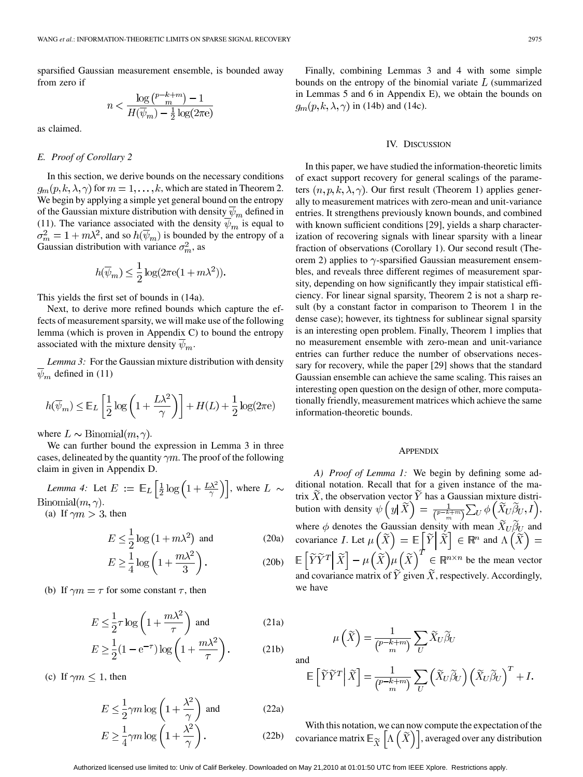sparsified Gaussian measurement ensemble, is bounded away from zero if

$$
n < \frac{\log\binom{p-k+m}{m} - 1}{H(\overline{\psi}_m) - \frac{1}{2}\log(2\pi\mathrm{e})}
$$

as claimed.

### *E. Proof of Corollary 2*

In this section, we derive bounds on the necessary conditions  $g_m(p, k, \lambda, \gamma)$  for  $m = 1, \dots, k$ , which are stated in Theorem 2. We begin by applying a simple yet general bound on the entropy of the Gaussian mixture distribution with density  $\overline{\psi}_m$  defined in (11). The variance associated with the density  $\psi_m$  is equal to , and so  $h(\psi_m)$  is bounded by the entropy of a Gaussian distribution with variance  $\sigma_m^2$ , as

$$
h(\overline{\psi}_m) \le \frac{1}{2} \log(2\pi e(1 + m\lambda^2)).
$$

This yields the first set of bounds in (14a).

Next, to derive more refined bounds which capture the effects of measurement sparsity, we will make use of the following lemma (which is proven in Appendix C) to bound the entropy associated with the mixture density  $\overline{\psi}_m$ .

*Lemma 3:* For the Gaussian mixture distribution with density  $\psi_m$  defined in (11)

$$
h(\overline{\psi}_m) \le \mathbb{E}_L \left[ \frac{1}{2} \log \left( 1 + \frac{L\lambda^2}{\gamma} \right) \right] + H(L) + \frac{1}{2} \log(2\pi e)
$$

where  $L \sim \text{Binomial}(m, \gamma)$ .

We can further bound the expression in Lemma 3 in three cases, delineated by the quantity  $\gamma m$ . The proof of the following claim in given in Appendix D.

*Lemma 4:* Let  $E := \mathbb{E}_L \left[ \frac{1}{2} \log \left( 1 + \frac{L\lambda^2}{\gamma} \right) \right]$ , where  $L \sim$  $Binomial(m, \gamma).$ (a) If  $\gamma m > 3$ , then

$$
E \le \frac{1}{2} \log \left( 1 + m \lambda^2 \right) \text{ and } \tag{20a}
$$

$$
E \ge \frac{1}{4} \log \left( 1 + \frac{m\lambda^2}{3} \right). \tag{20b}
$$

(b) If  $\gamma m = \tau$  for some constant  $\tau$ , then

$$
E \le \frac{1}{2}\tau \log \left(1 + \frac{m\lambda^2}{\tau}\right) \text{ and } (21a)
$$

$$
E \ge \frac{1}{2} (1 - e^{-\tau}) \log \left( 1 + \frac{m\lambda^2}{\tau} \right). \tag{21b}
$$

(c) If  $\gamma m \leq 1$ , then

$$
E \le \frac{1}{2}\gamma m \log \left(1 + \frac{\lambda^2}{\gamma}\right) \text{ and } (22a)
$$
  

$$
E \ge \frac{1}{4}\gamma m \log \left(1 + \frac{\lambda^2}{\gamma}\right). \qquad (22b)
$$

Finally, combining Lemmas 3 and 4 with some simple bounds on the entropy of the binomial variate  $L$  (summarized in Lemmas 5 and 6 in Appendix E), we obtain the bounds on  $g_m(p, k, \lambda, \gamma)$  in (14b) and (14c).

#### IV. DISCUSSION

In this paper, we have studied the information-theoretic limits of exact support recovery for general scalings of the parameters  $(n, p, k, \lambda, \gamma)$ . Our first result (Theorem 1) applies generally to measurement matrices with zero-mean and unit-variance entries. It strengthens previously known bounds, and combined with known sufficient conditions [29], yields a sharp characterization of recovering signals with linear sparsity with a linear fraction of observations (Corollary 1). Our second result (Theorem 2) applies to  $\gamma$ -sparsified Gaussian measurement ensembles, and reveals three different regimes of measurement sparsity, depending on how significantly they impair statistical efficiency. For linear signal sparsity, Theorem 2 is not a sharp result (by a constant factor in comparison to Theorem 1 in the dense case); however, its tightness for sublinear signal sparsity is an interesting open problem. Finally, Theorem 1 implies that no measurement ensemble with zero-mean and unit-variance entries can further reduce the number of observations necessary for recovery, while the paper [29] shows that the standard Gaussian ensemble can achieve the same scaling. This raises an interesting open question on the design of other, more computationally friendly, measurement matrices which achieve the same information-theoretic bounds.

#### **APPENDIX**

*A) Proof of Lemma 1:* We begin by defining some additional notation. Recall that for a given instance of the matrix X, the observation vector Y has a Gaussian mixture distribution with density  $\psi(y|X) = \frac{1}{\sqrt{p-k+m}} \sum_{I} \phi(X_{U} \beta_{U}, I),$ where  $\phi$  denotes the Gaussian density with mean  $X_U \beta_U$  and covariance I. Let  $\mu(X) = \mathbb{E}|Y|X| \in \mathbb{R}^n$  and be the mean vector and covariance matrix of  $\widetilde{Y}$  given  $\widetilde{X}$ , respectively. Accordingly, we have

and  
\n
$$
\mathbb{E}\left[\widetilde{Y}\widetilde{Y}^T\middle|\widetilde{X}\right] = \frac{1}{\binom{p-k+m}{m}}\sum_{U}\left(\widetilde{X}_U\widetilde{\beta}_U\right)\left(\widetilde{X}_U\widetilde{\beta}_U\right)^T + I.
$$

 $\mu\left(\widetilde{X}\right) = \frac{1}{\left(P - k + m\right)} \sum_{U} \widetilde{X}_U \widetilde{\beta}_U$ 

With this notation, we can now compute the expectation of the covariance matrix  $\mathbb{E}_{\widetilde{X}}\left[\Lambda\left(\widetilde{X}\right)\right]$ , averaged over any distribution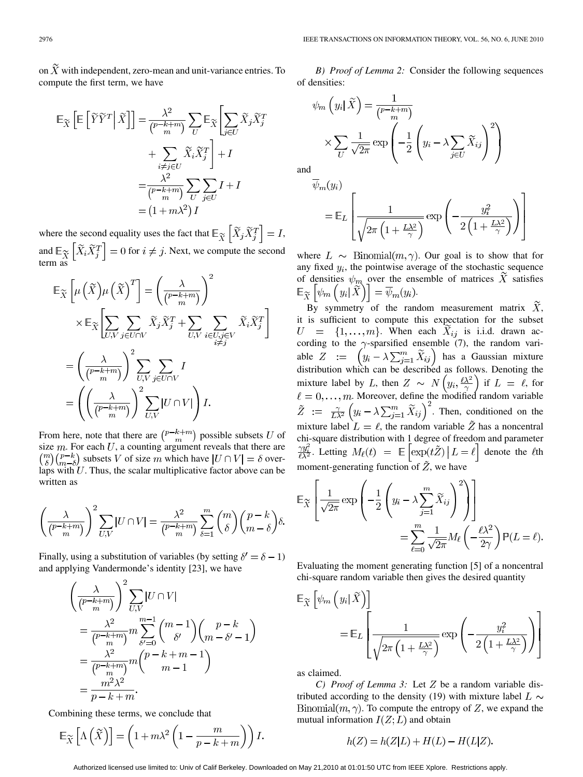on  $\tilde{X}$  with independent, zero-mean and unit-variance entries. To compute the first term, we have

$$
\mathbb{E}_{\widetilde{X}}\left[\mathbb{E}\left[\widetilde{Y}\widetilde{Y}^{T}\middle|\widetilde{X}\right]\right] = \frac{\lambda^{2}}{\binom{p-k+m}{m}}\sum_{U}\mathbb{E}_{\widetilde{X}}\left[\sum_{j\in U}\widetilde{X}_{j}\widetilde{X}_{j}^{T}\right] + \sum_{\substack{i\neq j\in U\\(p-k+m)\text{ }U}}\widetilde{X}_{i}\widetilde{X}_{j}^{T}\right] + I
$$

$$
= \frac{\lambda^{2}}{\binom{p-k+m}{m}}\sum_{U}\sum_{j\in U}I + I
$$

$$
= (1+m\lambda^{2})I
$$

where the second equality uses the fact that  $\mathbb{E}_{\widetilde{X}}\left[\widetilde{X}_j\widetilde{X}_j^T\right]=I$ , and  $\mathbb{E}_{\widetilde{X}}\left[\widetilde{X}_i\widetilde{X}_j^T\right]=0$  for  $i\neq j$ . Next, we compute the second term as

$$
\mathbb{E}_{\widetilde{X}}\left[\mu\left(\widetilde{X}\right)\mu\left(\widetilde{X}\right)^{T}\right] = \left(\frac{\lambda}{\binom{p-k+m}{m}}\right)^{2}
$$
\n
$$
\times \mathbb{E}_{\widetilde{X}}\left[\sum_{U,V}\sum_{j\in U\cap V}\widetilde{X}_{j}\widetilde{X}_{j}^{T} + \sum_{U,V}\sum_{i\in U,j\in V}\widetilde{X}_{i}\widetilde{X}_{j}^{T}\right]
$$
\n
$$
= \left(\frac{\lambda}{\binom{p-k+m}{m}}\right)^{2}\sum_{U,V}\sum_{j\in U\cap V}I
$$
\n
$$
= \left(\left(\frac{\lambda}{\binom{p-k+m}{m}}\right)^{2}\sum_{U,V}\left|U\cap V\right|\right)I.
$$

From here, note that there are  $\binom{p-k+m}{m}$  possible subsets U of size  $m$ . For each  $U$ , a counting argument reveals that there are  $\binom{m}{\delta}\binom{p-k}{m-\delta}$  subsets V of size m which have  $|U \cap V| = \delta$  overlaps with  $U$ . Thus, the scalar multiplicative factor above can be written as

$$
\left(\frac{\lambda}{\binom{p-k+m}{m}}\right)^2 \sum_{U,V} |U \cap V| = \frac{\lambda^2}{\binom{p-k+m}{m}} \sum_{\delta=1}^m \binom{m}{\delta} \binom{p-k}{m-\delta} \delta
$$

Finally, using a substitution of variables (by setting  $\delta' = \delta - 1$ ) and applying Vandermonde's identity [23], we have

$$
\left(\frac{\lambda}{\binom{p-k+m}{m}}\right)^2 \sum_{U,V} |U \cap V|
$$
  
= 
$$
\frac{\lambda^2}{\binom{p-k+m}{m}} m \sum_{\delta'=0}^{m-1} \binom{m-1}{\delta'} \binom{p-k}{m-\delta'-1}
$$
  
= 
$$
\frac{\lambda^2}{\binom{p-k+m}{m}} m \binom{p-k+m-1}{m-1}
$$
  
= 
$$
\frac{m^2 \lambda^2}{p-k+m}.
$$

Combining these terms, we conclude that

$$
\mathbb{E}_{\widetilde{X}}\left[\Lambda\left(\widetilde{X}\right)\right] = \left(1 + m\lambda^2 \left(1 - \frac{m}{p - k + m}\right)\right)l
$$

*B) Proof of Lemma 2:* Consider the following sequences of densities:

$$
\psi_m\left(y_i|\tilde{X}\right) = \frac{1}{\binom{p-k+m}{m}}
$$

$$
\times \sum_{U} \frac{1}{\sqrt{2\pi}} \exp\left(-\frac{1}{2}\left(y_i - \lambda \sum_{j\in U} \tilde{X}_{ij}\right)^2\right)
$$

and

$$
\overline{\psi}_{m}(y_{i}) = \mathbb{E}_{L} \left[ \frac{1}{\sqrt{2\pi \left(1 + \frac{L\lambda^{2}}{\gamma}\right)}} \exp\left(-\frac{y_{i}^{2}}{2\left(1 + \frac{L\lambda^{2}}{\gamma}\right)}\right) \right]
$$

where  $L \sim \text{Binomial}(m, \gamma)$ . Our goal is to show that for any fixed  $y_i$ , the pointwise average of the stochastic sequence of densities  $\psi_m$  over the ensemble of matrices X satisfies  $\mathbb{E}_{\widetilde{X}}\left[\psi_m\left(y_i|\widetilde{X}\right)\right]=\overline{\psi}_m(y_i).$ 

By symmetry of the random measurement matrix  $\overline{X}$ , it is sufficient to compute this expectation for the subset  $U = \{1, \ldots, m\}$ . When each  $X_{ij}$  is i.i.d. drawn according to the  $\gamma$ -sparsified ensemble (7), the random variable  $Z := \left(y_i - \lambda \sum_{j=1}^m \widetilde{X}_{ij}\right)$  has a Gaussian mixture distribution which can be described as follows. Denoting the mixture label by L, then  $Z \sim N(y_i, \frac{\ell \lambda^2}{\gamma})$  if  $L = \ell$ , for . Moreover, define the modified random variable . Then, conditioned on the mixture label  $L = \ell$ , the random variable  $\tilde{Z}$  has a noncentral chi-square distribution with 1 degree of freedom and parameter  $\frac{\gamma y_i^2}{\ell \lambda^2}$ . Letting  $M_\ell(t) = \mathbb{E} \left[ \exp(t \tilde{Z}) \, | \, L = \ell \right]$  denote the  $\ell$ th moment-generating function of  $\tilde{Z}$ , we have

$$
\mathbb{E}_{\widetilde{X}}\left[\frac{1}{\sqrt{2\pi}}\exp\left(-\frac{1}{2}\left(y_i-\lambda\sum_{j=1}^m\widetilde{X}_{ij}\right)^2\right)\right]
$$

$$
=\sum_{\ell=0}^m\frac{1}{\sqrt{2\pi}}M_\ell\left(-\frac{\ell\lambda^2}{2\gamma}\right)\mathbb{P}(L=\ell).
$$

Evaluating the moment generating function [5] of a noncentral chi-square random variable then gives the desired quantity

$$
E_{\widetilde{X}}\left[\psi_m\left(y_i|\widetilde{X}\right)\right]
$$
  
= 
$$
E_L\left[\frac{1}{\sqrt{2\pi\left(1+\frac{L\lambda^2}{\gamma}\right)}}\exp\left(-\frac{y_i^2}{2\left(1+\frac{L\lambda^2}{\gamma}\right)}\right)\right]
$$

as claimed.

*C)* Proof of Lemma 3: Let  $Z$  be a random variable distributed according to the density (19) with mixture label  $L \sim$  $Binomial(m, \gamma)$ . To compute the entropy of Z, we expand the mutual information  $I(Z;L)$  and obtain

$$
h(Z) = h(Z|L) + H(L) - H(L|Z).
$$

Authorized licensed use limited to: Univ of Calif Berkeley. Downloaded on May 21,2010 at 01:01:50 UTC from IEEE Xplore. Restrictions apply.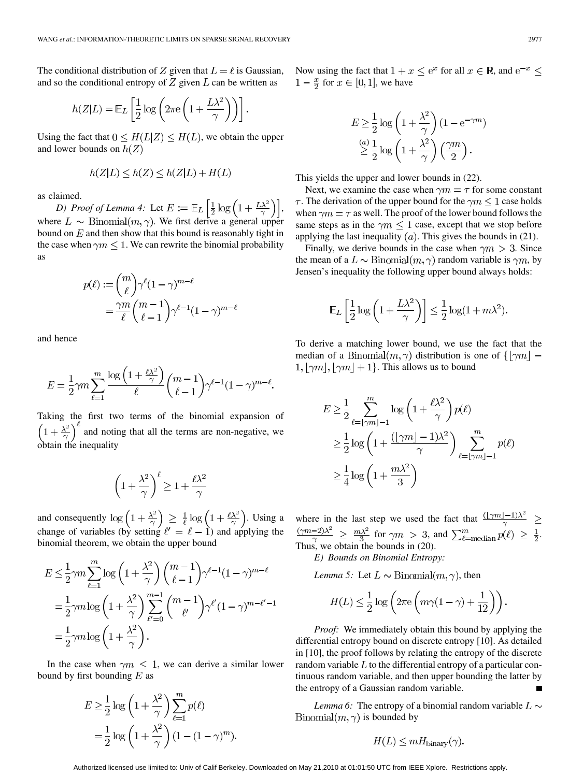The conditional distribution of Z given that  $L = \ell$  is Gaussian, and so the conditional entropy of  $Z$  given  $L$  can be written as

$$
h(Z|L) = \mathbb{E}_L \left[ \frac{1}{2} \log \left( 2\pi \mathrm{e} \left( 1 + \frac{L\lambda^2}{\gamma} \right) \right) \right].
$$

Using the fact that  $0 \leq H(L|Z) \leq H(L)$ , we obtain the upper and lower bounds on  $h(Z)$ 

$$
h(Z|L) \le h(Z) \le h(Z|L) + H(L)
$$

as claimed.

*D)* Proof of Lemma 4: Let  $E := \mathbb{E}_L \left[ \frac{1}{2} \log \left( 1 + \frac{L \lambda^2}{\gamma} \right) \right]$ , where  $L \sim \text{Binomial}(m, \gamma)$ . We first derive a general upper bound on  $E$  and then show that this bound is reasonably tight in the case when  $\gamma m \leq 1$ . We can rewrite the binomial probability as

$$
p(\ell) := \binom{m}{\ell} \gamma^{\ell} (1 - \gamma)^{m - \ell}
$$

$$
= \frac{\gamma m}{\ell} \binom{m - 1}{\ell - 1} \gamma^{\ell - 1} (1 - \gamma)^{m - \ell}
$$

and hence

J

$$
E = \frac{1}{2}\gamma m \sum_{\ell=1}^{m} \frac{\log\left(1 + \frac{\ell \lambda^2}{\gamma}\right)}{\ell} {m-1 \choose \ell-1} \gamma^{\ell-1} (1-\gamma)^{m-\ell}
$$

Taking the first two terms of the binomial expansion of and noting that all the terms are non-negative, we obtain the inequality

$$
\left(1 + \frac{\lambda^2}{\gamma}\right)^{\ell} \ge 1 + \frac{\ell \lambda^2}{\gamma}
$$

and consequently  $\log(1+\frac{\lambda^2}{\gamma}) \geq \frac{1}{l} \log(1+\frac{l\lambda^2}{\gamma})$ . Using a change of variables (by setting  $\ell' = \ell - 1$ ) and applying the binomial theorem, we obtain the upper bound

$$
E \leq \frac{1}{2}\gamma m \sum_{\ell=1}^{m} \log \left(1 + \frac{\lambda^2}{\gamma}\right) {m-1 \choose \ell-1} \gamma^{\ell-1} (1 - \gamma)^{m-\ell}
$$
  
=  $\frac{1}{2}\gamma m \log \left(1 + \frac{\lambda^2}{\gamma}\right) \sum_{\ell'=0}^{m-1} {m-1 \choose \ell'} \gamma^{\ell'} (1 - \gamma)^{m-\ell'-1}$   
=  $\frac{1}{2}\gamma m \log \left(1 + \frac{\lambda^2}{\gamma}\right).$ 

In the case when  $\gamma m \leq 1$ , we can derive a similar lower bound by first bounding  $E$  as

$$
E \ge \frac{1}{2} \log \left( 1 + \frac{\lambda^2}{\gamma} \right) \sum_{\ell=1}^m p(\ell)
$$

$$
= \frac{1}{2} \log \left( 1 + \frac{\lambda^2}{\gamma} \right) \left( 1 - (1 - \gamma)^m \right)
$$

Now using the fact that  $1 + x \le e^x$  for all  $x \in \mathbb{R}$ , and  $e^{-x} \le$  $1-\frac{x}{2}$  for  $x \in [0,1]$ , we have

$$
E \ge \frac{1}{2} \log \left( 1 + \frac{\lambda^2}{\gamma} \right) (1 - e^{-\gamma m})
$$
  

$$
\stackrel{(a)}{\ge} \frac{1}{2} \log \left( 1 + \frac{\lambda^2}{\gamma} \right) \left( \frac{\gamma m}{2} \right).
$$

This yields the upper and lower bounds in (22).

Next, we examine the case when  $\gamma m = \tau$  for some constant  $\tau$ . The derivation of the upper bound for the  $\gamma m \leq 1$  case holds when  $\gamma m = \tau$  as well. The proof of the lower bound follows the same steps as in the  $\gamma m \leq 1$  case, except that we stop before applying the last inequality  $(a)$ . This gives the bounds in (21).

Finally, we derive bounds in the case when  $\gamma m > 3$ . Since the mean of a  $L \sim \text{Binomial}(m, \gamma)$  random variable is  $\gamma m$ , by Jensen's inequality the following upper bound always holds:

$$
\mathbb{E}_L\left[\frac{1}{2}\log\left(1+\frac{L\lambda^2}{\gamma}\right)\right] \le \frac{1}{2}\log(1+m\lambda^2).
$$

To derive a matching lower bound, we use the fact that the median of a Binomial $(m, \gamma)$  distribution is one of  $\{|\gamma m| 1, |\gamma m|, |\gamma m| + 1$ . This allows us to bound

$$
E \ge \frac{1}{2} \sum_{\ell=\lfloor \gamma m \rfloor - 1}^{m} \log \left( 1 + \frac{\ell \lambda^2}{\gamma} \right) p(\ell)
$$
  
 
$$
\ge \frac{1}{2} \log \left( 1 + \frac{(\lfloor \gamma m \rfloor - 1)\lambda^2}{\gamma} \right) \sum_{\ell=\lfloor \gamma m \rfloor - 1}^{m} p(\ell)
$$
  
 
$$
\ge \frac{1}{4} \log \left( 1 + \frac{m\lambda^2}{3} \right)
$$

where in the last step we used the fact that for  $\gamma m > 3$ , and  $\sum_{\ell = \text{median}}^m p(\ell) \geq \frac{1}{2}$ . Thus, we obtain the bounds in (20).

*E) Bounds on Binomial Entropy:*

*Lemma 5:* Let  $L \sim \text{Binomial}(m, \gamma)$ , then

$$
H(L) \leq \frac{1}{2} \log \left( 2\pi e \left( m\gamma (1 - \gamma) + \frac{1}{12} \right) \right).
$$

*Proof:* We immediately obtain this bound by applying the differential entropy bound on discrete entropy [10]. As detailed in [10], the proof follows by relating the entropy of the discrete random variable  $L$  to the differential entropy of a particular continuous random variable, and then upper bounding the latter by the entropy of a Gaussian random variable.

*Lemma 6:* The entropy of a binomial random variable  $L \sim$ Binomial $(m, \gamma)$  is bounded by

$$
H(L) \leq mH_{\text{binary}}(\gamma).
$$

Authorized licensed use limited to: Univ of Calif Berkeley. Downloaded on May 21,2010 at 01:01:50 UTC from IEEE Xplore. Restrictions apply.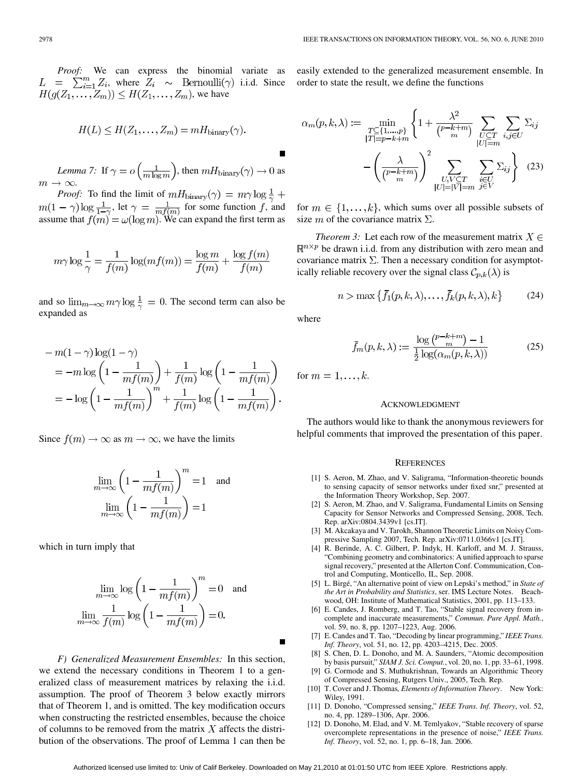*Proof:* We can express the binomial variate as , where  $Z_i \sim \text{Bernoulli}(\gamma)$  i.i.d. Since , we have

$$
H(L) \leq H(Z_1, \ldots, Z_m) = mH_{\text{binary}}(\gamma).
$$

*Lemma 7:* If  $\gamma = o\left(\frac{1}{m \log m}\right)$ , then  $mH_{\text{binary}}(\gamma) \to 0$  as  $m \to \infty$ .

*Proof:* To find the limit of , let  $\gamma = \frac{1}{m f(m)}$  for some function f, and assume that  $f(m) = \omega(\log m)$ . We can expand the first term as

$$
m\gamma \log \frac{1}{\gamma} = \frac{1}{f(m)} \log(m f(m)) = \frac{\log m}{f(m)} + \frac{\log f(m)}{f(m)}
$$

and so  $\lim_{m\to\infty} m\gamma \log \frac{1}{\gamma} = 0$ . The second term can also be expanded as

$$
- m(1 - \gamma) \log(1 - \gamma)
$$
  
= 
$$
- m \log \left( 1 - \frac{1}{mf(m)} \right) + \frac{1}{f(m)} \log \left( 1 - \frac{1}{mf(m)} \right)
$$
  
= 
$$
- \log \left( 1 - \frac{1}{mf(m)} \right)^m + \frac{1}{f(m)} \log \left( 1 - \frac{1}{mf(m)} \right).
$$

Since  $f(m) \to \infty$  as  $m \to \infty$ , we have the limits

$$
\lim_{m \to \infty} \left( 1 - \frac{1}{m f(m)} \right)^m = 1 \text{ and}
$$

$$
\lim_{m \to \infty} \left( 1 - \frac{1}{m f(m)} \right) = 1
$$

which in turn imply that

$$
\lim_{m \to \infty} \log \left( 1 - \frac{1}{m f(m)} \right)^m = 0 \text{ and}
$$

$$
\lim_{m \to \infty} \frac{1}{f(m)} \log \left( 1 - \frac{1}{m f(m)} \right) = 0.
$$

*F) Generalized Measurement Ensembles:* In this section, we extend the necessary conditions in Theorem 1 to a generalized class of measurement matrices by relaxing the i.i.d. assumption. The proof of Theorem 3 below exactly mirrors that of Theorem 1, and is omitted. The key modification occurs when constructing the restricted ensembles, because the choice of columns to be removed from the matrix  $X$  affects the distribution of the observations. The proof of Lemma 1 can then be easily extended to the generalized measurement ensemble. In order to state the result, we define the functions

$$
\alpha_m(p,k,\lambda) := \min_{\substack{T \subseteq \{1,\ldots,p\} \\ |T| = p-k+m}} \left\{ 1 + \frac{\lambda^2}{\binom{p-k+m}{m}} \sum_{\substack{U \subseteq T \\ |U| = m}} \sum_{i,j \in U} \Sigma_{ij} \right\}
$$

$$
- \left( \frac{\lambda}{\binom{p-k+m}{m}} \right)^2 \sum_{\substack{U, V \subseteq T \\ |U| = |V| = m}} \sum_{\substack{i \in U \\ j \in V}} \Sigma_{ij} \right\} \quad (23)
$$

for  $m \in \{1, \ldots, k\}$ , which sums over all possible subsets of size m of the covariance matrix  $\Sigma$ .

*Theorem 3:* Let each row of the measurement matrix  $X \in$  $\mathbb{R}^{n \times p}$  be drawn i.i.d. from any distribution with zero mean and covariance matrix  $\Sigma$ . Then a necessary condition for asymptotically reliable recovery over the signal class  $\mathcal{C}_{p,k}(\lambda)$  is

$$
n > \max\left\{\bar{f}_1(p,k,\lambda), \dots, \bar{f}_k(p,k,\lambda), k\right\} \tag{24}
$$

where

$$
\bar{f}_m(p,k,\lambda) := \frac{\log\left(\frac{p-k+m}{m}\right) - 1}{\frac{1}{2}\log(\alpha_m(p,k,\lambda))}
$$
(25)

for  $m = 1, \ldots, k$ .

#### ACKNOWLEDGMENT

The authors would like to thank the anonymous reviewers for helpful comments that improved the presentation of this paper.

#### **REFERENCES**

- [1] S. Aeron, M. Zhao, and V. Saligrama, "Information-theoretic bounds to sensing capacity of sensor networks under fixed snr," presented at the Information Theory Workshop, Sep. 2007.
- [2] S. Aeron, M. Zhao, and V. Saligrama, Fundamental Limits on Sensing Capacity for Sensor Networks and Compressed Sensing, 2008, Tech. Rep. arXiv:0804.3439v1 [cs.IT].
- [3] M. Akcakaya and V. Tarokh, Shannon Theoretic Limits on Noisy Compressive Sampling 2007, Tech. Rep. arXiv:0711.0366v1 [cs.IT].
- [4] R. Berinde, A. C. Gilbert, P. Indyk, H. Karloff, and M. J. Strauss, "Combining geometry and combinatorics: A unified approach to sparse signal recovery," presented at the Allerton Conf. Communication, Control and Computing, Monticello, IL, Sep. 2008.
- [5] L. Birgé, "An alternative point of view on Lepski's method," in *State of the Art in Probability and Statistics*, ser. IMS Lecture Notes. Beachwood, OH: Institute of Mathematical Statistics, 2001, pp. 113–133.
- [6] E. Candes, J. Romberg, and T. Tao, "Stable signal recovery from incomplete and inaccurate measurements," *Commun. Pure Appl. Math.*, vol. 59, no. 8, pp. 1207–1223, Aug. 2006.
- [7] E. Candes and T. Tao, "Decoding by linear programming," *IEEE Trans. Inf. Theory*, vol. 51, no. 12, pp. 4203–4215, Dec. 2005.
- [8] S. Chen, D. L. Donoho, and M. A. Saunders, "Atomic decomposition by basis pursuit," *SIAM J. Sci. Comput.*, vol. 20, no. 1, pp. 33–61, 1998.
- [9] G. Cormode and S. Muthukrishnan, Towards an Algorithmic Theory of Compressed Sensing, Rutgers Univ., 2005, Tech. Rep.
- [10] T. Cover and J. Thomas*, Elements of Information Theory*. New York: Wiley, 1991.
- [11] D. Donoho, "Compressed sensing," *IEEE Trans. Inf. Theory*, vol. 52, no. 4, pp. 1289–1306, Apr. 2006.
- [12] D. Donoho, M. Elad, and V. M. Temlyakov, "Stable recovery of sparse overcomplete representations in the presence of noise," *IEEE Trans. Inf. Theory*, vol. 52, no. 1, pp. 6–18, Jan. 2006.